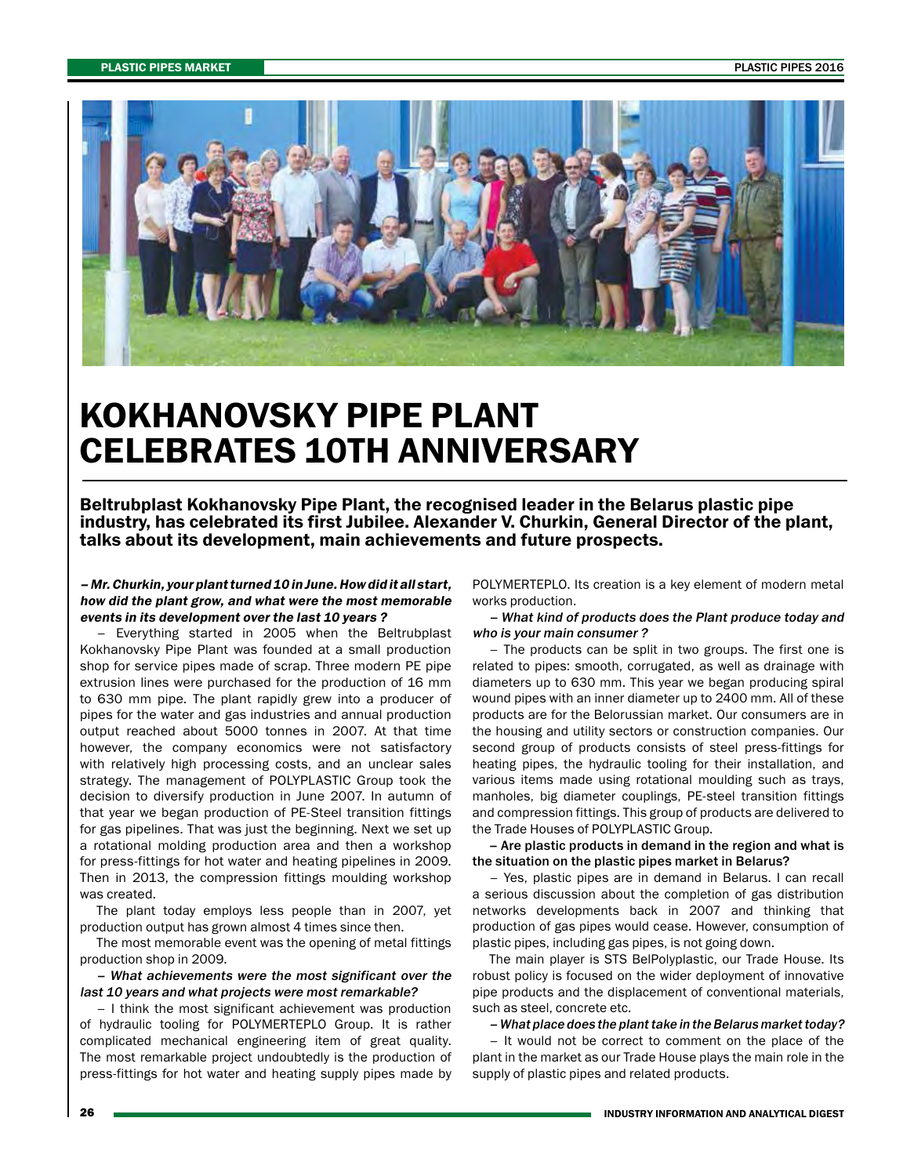

## KOKHANOVSKY PIPE PLANT CELEBRATES 10TH ANNIVERSARY

Beltrubplast Kokhanovsky Pipe Plant, the recognised leader in the Belarus plastic pipe industry, has celebrated its first Jubilee. Alexander V. Churkin, General Director of the plant, talks about its development, main achievements and future prospects.

## – Mr. Churkin, your plant turned 10 in June. How did it all start, how did the plant grow, and what were the most memorable events in its development over the last 10 years ?

– Everything started in 2005 when the Beltrubplast Kokhanovsky Pipe Plant was founded at a small production shop for service pipes made of scrap. Three modern PE pipe extrusion lines were purchased for the production of 16 mm to 630 mm pipe. The plant rapidly grew into a producer of pipes for the water and gas industries and annual production output reached about 5000 tonnes in 2007. At that time however, the company economics were not satisfactory with relatively high processing costs, and an unclear sales strategy. The management of POLYPLASTIC Group took the decision to diversify production in June 2007. In autumn of that year we began production of PE-Steel transition fittings for gas pipelines. That was just the beginning. Next we set up a rotational molding production area and then a workshop for press-fittings for hot water and heating pipelines in 2009. Then in 2013, the compression fittings moulding workshop was created.

The plant today employs less people than in 2007, yet production output has grown almost 4 times since then.

The most memorable event was the opening of metal fittings production shop in 2009.

– What achievements were the most significant over the last 10 years and what projects were most remarkable?

– I think the most significant achievement was production of hydraulic tooling for POLYMERTEPLO Group. It is rather complicated mechanical engineering item of great quality. The most remarkable project undoubtedly is the production of press-fittings for hot water and heating supply pipes made by POLYMERTEPLO. Its creation is a key element of modern metal works production.

– What kind of products does the Plant produce today and who is your main consumer ?

– The products can be split in two groups. The first one is related to pipes: smooth, corrugated, as well as drainage with diameters up to 630 mm. This year we began producing spiral wound pipes with an inner diameter up to 2400 mm. All of these products are for the Belorussian market. Our consumers are in the housing and utility sectors or construction companies. Our second group of products consists of steel press-fittings for heating pipes, the hydraulic tooling for their installation, and various items made using rotational moulding such as trays, manholes, big diameter couplings, PE-steel transition fittings and compression fittings. This group of products are delivered to the Trade Houses of POLYPLASTIC Group.

– Are plastic products in demand in the region and what is the situation on the plastic pipes market in Belarus?

– Yes, plastic pipes are in demand in Belarus. I can recall a serious discussion about the completion of gas distribution networks developments back in 2007 and thinking that production of gas pipes would cease. However, consumption of plastic pipes, including gas pipes, is not going down.

The main player is STS BelPolyplastic, our Trade House. Its robust policy is focused on the wider deployment of innovative pipe products and the displacement of conventional materials, such as steel, concrete etc.

– What place does the plant take in the Belarus market today?

– It would not be correct to comment on the place of the plant in the market as our Trade House plays the main role in the supply of plastic pipes and related products.